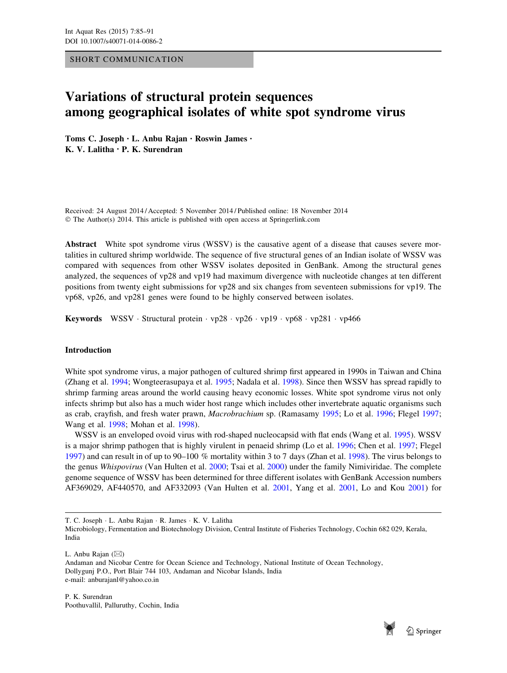SHORT COMMUNICATION

# Variations of structural protein sequences among geographical isolates of white spot syndrome virus

Toms C. Joseph • L. Anbu Rajan • Roswin James • K. V. Lalitha • P. K. Surendran

Received: 24 August 2014 / Accepted: 5 November 2014 / Published online: 18 November 2014 © The Author(s) 2014. This article is published with open access at Springerlink.com

Abstract White spot syndrome virus (WSSV) is the causative agent of a disease that causes severe mortalities in cultured shrimp worldwide. The sequence of five structural genes of an Indian isolate of WSSV was compared with sequences from other WSSV isolates deposited in GenBank. Among the structural genes analyzed, the sequences of vp28 and vp19 had maximum divergence with nucleotide changes at ten different positions from twenty eight submissions for vp28 and six changes from seventeen submissions for vp19. The vp68, vp26, and vp281 genes were found to be highly conserved between isolates.

Keywords WSSV · Structural protein · vp28 · vp26 · vp19 · vp68 · vp281 · vp466

## Introduction

White spot syndrome virus, a major pathogen of cultured shrimp first appeared in 1990s in Taiwan and China (Zhang et al. [1994](#page-6-0); Wongteerasupaya et al. [1995;](#page-6-0) Nadala et al. [1998](#page-5-0)). Since then WSSV has spread rapidly to shrimp farming areas around the world causing heavy economic losses. White spot syndrome virus not only infects shrimp but also has a much wider host range which includes other invertebrate aquatic organisms such as crab, crayfish, and fresh water prawn, Macrobrachium sp. (Ramasamy [1995](#page-5-0); Lo et al. [1996;](#page-5-0) Flegel [1997;](#page-5-0) Wang et al. [1998](#page-6-0); Mohan et al. [1998\)](#page-5-0).

WSSV is an enveloped ovoid virus with rod-shaped nucleocapsid with flat ends (Wang et al. [1995\)](#page-6-0). WSSV is a major shrimp pathogen that is highly virulent in penaeid shrimp (Lo et al. [1996;](#page-5-0) Chen et al. [1997](#page-5-0); Flegel [1997](#page-5-0)) and can result in of up to 90–100 % mortality within 3 to 7 days (Zhan et al. [1998\)](#page-6-0). The virus belongs to the genus Whispovirus (Van Hulten et al. [2000;](#page-6-0) Tsai et al. [2000](#page-5-0)) under the family Nimiviridae. The complete genome sequence of WSSV has been determined for three different isolates with GenBank Accession numbers AF369029, AF440570, and AF332093 (Van Hulten et al. [2001,](#page-6-0) Yang et al. [2001](#page-6-0), Lo and Kou [2001\)](#page-5-0) for

T. C. Joseph - L. Anbu Rajan - R. James - K. V. Lalitha

Microbiology, Fermentation and Biotechnology Division, Central Institute of Fisheries Technology, Cochin 682 029, Kerala, India

L. Anbu Rajan  $(\boxtimes)$ 

Andaman and Nicobar Centre for Ocean Science and Technology, National Institute of Ocean Technology, Dollygunj P.O., Port Blair 744 103, Andaman and Nicobar Islands, India e-mail: anburajanl@yahoo.co.in

P. K. Surendran Poothuvallil, Palluruthy, Cochin, India

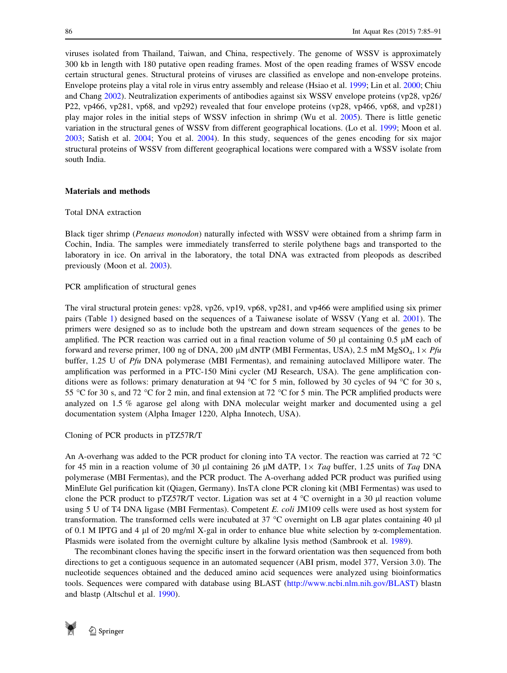viruses isolated from Thailand, Taiwan, and China, respectively. The genome of WSSV is approximately 300 kb in length with 180 putative open reading frames. Most of the open reading frames of WSSV encode certain structural genes. Structural proteins of viruses are classified as envelope and non-envelope proteins. Envelope proteins play a vital role in virus entry assembly and release (Hsiao et al. [1999](#page-5-0); Lin et al. [2000](#page-5-0); Chiu and Chang [2002](#page-5-0)). Neutralization experiments of antibodies against six WSSV envelope proteins (vp28, vp26/ P22, vp466, vp281, vp68, and vp292) revealed that four envelope proteins (vp28, vp466, vp68, and vp281) play major roles in the initial steps of WSSV infection in shrimp (Wu et al. [2005\)](#page-6-0). There is little genetic variation in the structural genes of WSSV from different geographical locations. (Lo et al. [1999](#page-5-0); Moon et al. [2003](#page-5-0); Satish et al. [2004;](#page-5-0) You et al. [2004\)](#page-6-0). In this study, sequences of the genes encoding for six major structural proteins of WSSV from different geographical locations were compared with a WSSV isolate from south India.

# Materials and methods

### Total DNA extraction

Black tiger shrimp (Penaeus monodon) naturally infected with WSSV were obtained from a shrimp farm in Cochin, India. The samples were immediately transferred to sterile polythene bags and transported to the laboratory in ice. On arrival in the laboratory, the total DNA was extracted from pleopods as described previously (Moon et al. [2003](#page-5-0)).

# PCR amplification of structural genes

The viral structural protein genes: vp28, vp26, vp19, vp68, vp281, and vp466 were amplified using six primer pairs (Table [1](#page-2-0)) designed based on the sequences of a Taiwanese isolate of WSSV (Yang et al. [2001\)](#page-6-0). The primers were designed so as to include both the upstream and down stream sequences of the genes to be amplified. The PCR reaction was carried out in a final reaction volume of 50  $\mu$ l containing 0.5  $\mu$ M each of forward and reverse primer, 100 ng of DNA, 200 µM dNTP (MBI Fermentas, USA), 2.5 mM MgSO<sub>4</sub>,  $1 \times Pf u$ buffer, 1.25 U of Pfu DNA polymerase (MBI Fermentas), and remaining autoclaved Millipore water. The amplification was performed in a PTC-150 Mini cycler (MJ Research, USA). The gene amplification conditions were as follows: primary denaturation at 94  $^{\circ}$ C for 5 min, followed by 30 cycles of 94  $^{\circ}$ C for 30 s, 55 °C for 30 s, and 72 °C for 2 min, and final extension at 72 °C for 5 min. The PCR amplified products were analyzed on 1.5 % agarose gel along with DNA molecular weight marker and documented using a gel documentation system (Alpha Imager 1220, Alpha Innotech, USA).

# Cloning of PCR products in pTZ57R/T

An A-overhang was added to the PCR product for cloning into TA vector. The reaction was carried at 72 °C for 45 min in a reaction volume of 30  $\mu$ l containing 26  $\mu$ M dATP, 1 $\times$  Taq buffer, 1.25 units of Taq DNA polymerase (MBI Fermentas), and the PCR product. The A-overhang added PCR product was purified using MinElute Gel purification kit (Qiagen, Germany). InsTA clone PCR cloning kit (MBI Fermentas) was used to clone the PCR product to pTZ57R/T vector. Ligation was set at  $4^{\circ}$ C overnight in a 30 µl reaction volume using 5 U of T4 DNA ligase (MBI Fermentas). Competent E. coli JM109 cells were used as host system for transformation. The transformed cells were incubated at 37  $^{\circ}$ C overnight on LB agar plates containing 40  $\mu$ l of 0.1 M IPTG and 4  $\mu$ l of 20 mg/ml X-gal in order to enhance blue white selection by  $\alpha$ -complementation. Plasmids were isolated from the overnight culture by alkaline lysis method (Sambrook et al. [1989](#page-5-0)).

The recombinant clones having the specific insert in the forward orientation was then sequenced from both directions to get a contiguous sequence in an automated sequencer (ABI prism, model 377, Version 3.0). The nucleotide sequences obtained and the deduced amino acid sequences were analyzed using bioinformatics tools. Sequences were compared with database using BLAST [\(http://www.ncbi.nlm.nih.gov/BLAST\)](http://www.ncbi.nlm.nih.gov/BLAST) blastn and blastp (Altschul et al. [1990\)](#page-5-0).

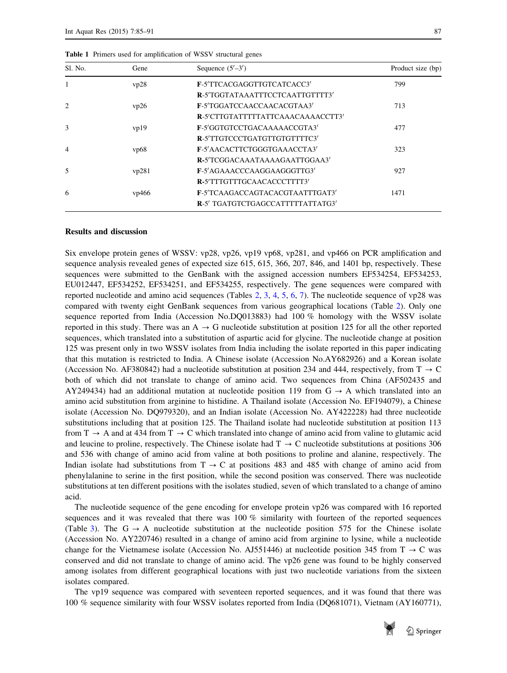| Sl. No.                  | Gene  | Sequence $(5'–3')$                | Product size (bp) |
|--------------------------|-------|-----------------------------------|-------------------|
|                          | vp28  | F-5'TTCACGAGGTTGTCATCACC3'        | 799               |
|                          |       | R-5'TGGTATAAATTTCCTCAATTGTTTT3'   |                   |
| $\mathcal{L}$            | vp26  | F-5'TGGATCCAACCAACACGTAA3'        | 713               |
|                          |       | R-5'CTTGTATTTTTATTCAAACAAAACCTT3' |                   |
| $\mathcal{F}$            | vp19  | F-5'GGTGTCCTGACAAAAACCGTA3'       | 477               |
|                          |       | R-5'TTGTCCCTGATGTTGTGTTTTC3'      |                   |
| $\overline{4}$           | vp68  | F-5'AACACTTCTGGGTGAAACCTA3'       | 323               |
|                          |       | R-5'TCGGACAAATAAAAGAATTGGAA3'     |                   |
| $\overline{\phantom{1}}$ | vp281 | F-5'AGAAACCCAAGGAAGGGTTG3'        | 927               |
|                          |       | R-5'TTTGTTTGCAACACCCTTTT3'        |                   |
| 6                        | vp466 | F-5'TCAAGACCAGTACACGTAATTTGAT3'   | 1471              |
|                          |       | R-5' TGATGTCTGAGCCATTTTTATTATG3'  |                   |

<span id="page-2-0"></span>Table 1 Primers used for amplification of WSSV structural genes

#### Results and discussion

Six envelope protein genes of WSSV: vp28, vp26, vp19 vp68, vp281, and vp466 on PCR amplification and sequence analysis revealed genes of expected size 615, 615, 366, 207, 846, and 1401 bp, respectively. These sequences were submitted to the GenBank with the assigned accession numbers EF534254, EF534253, EU012447, EF534252, EF534251, and EF534255, respectively. The gene sequences were compared with reported nucleotide and amino acid sequences (Tables [2,](#page-3-0) [3](#page-3-0), [4,](#page-3-0) [5](#page-4-0), [6,](#page-4-0) [7](#page-4-0)). The nucleotide sequence of vp28 was compared with twenty eight GenBank sequences from various geographical locations (Table [2\)](#page-3-0). Only one sequence reported from India (Accession No.DQ013883) had 100 % homology with the WSSV isolate reported in this study. There was an  $A \rightarrow G$  nucleotide substitution at position 125 for all the other reported sequences, which translated into a substitution of aspartic acid for glycine. The nucleotide change at position 125 was present only in two WSSV isolates from India including the isolate reported in this paper indicating that this mutation is restricted to India. A Chinese isolate (Accession No.AY682926) and a Korean isolate (Accession No. AF380842) had a nucleotide substitution at position 234 and 444, respectively, from  $T \rightarrow C$ both of which did not translate to change of amino acid. Two sequences from China (AF502435 and AY249434) had an additional mutation at nucleotide position 119 from  $G \rightarrow A$  which translated into an amino acid substitution from arginine to histidine. A Thailand isolate (Accession No. EF194079), a Chinese isolate (Accession No. DQ979320), and an Indian isolate (Accession No. AY422228) had three nucleotide substitutions including that at position 125. The Thailand isolate had nucleotide substitution at position 113 from  $T \rightarrow A$  and at 434 from  $T \rightarrow C$  which translated into change of amino acid from valine to glutamic acid and leucine to proline, respectively. The Chinese isolate had  $T \rightarrow C$  nucleotide substitutions at positions 306 and 536 with change of amino acid from valine at both positions to proline and alanine, respectively. The Indian isolate had substitutions from  $T \rightarrow C$  at positions 483 and 485 with change of amino acid from phenylalanine to serine in the first position, while the second position was conserved. There was nucleotide substitutions at ten different positions with the isolates studied, seven of which translated to a change of amino acid.

The nucleotide sequence of the gene encoding for envelope protein vp26 was compared with 16 reported sequences and it was revealed that there was 100 % similarity with fourteen of the reported sequences (Table [3](#page-3-0)). The  $G \rightarrow A$  nucleotide substitution at the nucleotide position 575 for the Chinese isolate (Accession No. AY220746) resulted in a change of amino acid from arginine to lysine, while a nucleotide change for the Vietnamese isolate (Accession No. AJ551446) at nucleotide position 345 from  $T \rightarrow C$  was conserved and did not translate to change of amino acid. The vp26 gene was found to be highly conserved among isolates from different geographical locations with just two nucleotide variations from the sixteen isolates compared.

The vp19 sequence was compared with seventeen reported sequences, and it was found that there was 100 % sequence similarity with four WSSV isolates reported from India (DQ681071), Vietnam (AY160771),

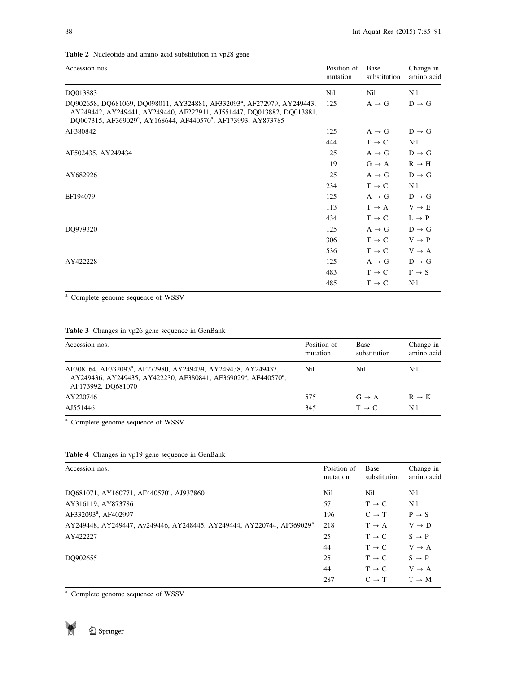| Accession nos.                                                                                                                                                                                                                                         | Position of<br>mutation | Base<br>substitution | Change in<br>amino acid |
|--------------------------------------------------------------------------------------------------------------------------------------------------------------------------------------------------------------------------------------------------------|-------------------------|----------------------|-------------------------|
| DQ013883                                                                                                                                                                                                                                               | Nil                     | Nil                  | Nil                     |
| DO902658, DO681069, DO098011, AY324881, AF332093 <sup>a</sup> , AF272979, AY249443,<br>AY249442, AY249441, AY249440, AF227911, AJ551447, DQ013882, DQ013881,<br>DQ007315, AF369029 <sup>a</sup> , AY168644, AF440570 <sup>a</sup> , AF173993, AY873785 | 125                     | $A \rightarrow G$    | $D \rightarrow G$       |
| AF380842                                                                                                                                                                                                                                               | 125                     | $A \rightarrow G$    | $D \rightarrow G$       |
|                                                                                                                                                                                                                                                        | 444                     | $T \rightarrow C$    | Nil                     |
| AF502435, AY249434                                                                                                                                                                                                                                     | 125                     | $A \rightarrow G$    | $D \rightarrow G$       |
|                                                                                                                                                                                                                                                        | 119                     | $G \rightarrow A$    | $R \rightarrow H$       |
| AY682926                                                                                                                                                                                                                                               | 125                     | $A \rightarrow G$    | $D \rightarrow G$       |
|                                                                                                                                                                                                                                                        | 234                     | $T \rightarrow C$    | Nil                     |
| EF194079                                                                                                                                                                                                                                               | 125                     | $A \rightarrow G$    | $D \rightarrow G$       |
|                                                                                                                                                                                                                                                        | 113                     | $T \rightarrow A$    | $V \rightarrow E$       |
|                                                                                                                                                                                                                                                        | 434                     | $T \rightarrow C$    | $L \rightarrow P$       |
| DQ979320                                                                                                                                                                                                                                               | 125                     | $A \rightarrow G$    | $D \rightarrow G$       |
|                                                                                                                                                                                                                                                        | 306                     | $T \rightarrow C$    | $V \rightarrow P$       |
|                                                                                                                                                                                                                                                        | 536                     | $T \rightarrow C$    | $V \rightarrow A$       |
| AY422228                                                                                                                                                                                                                                               | 125                     | $A \rightarrow G$    | $D \rightarrow G$       |
|                                                                                                                                                                                                                                                        | 483                     | $T \rightarrow C$    | $F \rightarrow S$       |
|                                                                                                                                                                                                                                                        | 485                     | $T \rightarrow C$    | Nil                     |

<span id="page-3-0"></span>Table 2 Nucleotide and amino acid substitution in vp28 gene

<sup>a</sup> Complete genome sequence of WSSV

# Table 3 Changes in vp26 gene sequence in GenBank

| Accession nos.                                                                                                                                                                             | Position of<br>mutation | Base<br>substitution | Change in<br>amino acid |
|--------------------------------------------------------------------------------------------------------------------------------------------------------------------------------------------|-------------------------|----------------------|-------------------------|
| AF308164, AF332093 <sup>a</sup> , AF272980, AY249439, AY249438, AY249437,<br>AY249436, AY249435, AY422230, AF380841, AF369029 <sup>a</sup> , AF440570 <sup>a</sup> ,<br>AF173992, DO681070 | Nil                     | Nil                  | Nil                     |
| AY220746                                                                                                                                                                                   | 575                     | $G \rightarrow A$    | $R \rightarrow K$       |
| AJ551446                                                                                                                                                                                   | 345                     | $T \rightarrow C$    | Nil                     |

<sup>a</sup> Complete genome sequence of WSSV

# Table 4 Changes in vp19 gene sequence in GenBank

| Accession nos.                                                                    | Position of<br>mutation | Base<br>substitution | Change in<br>amino acid |
|-----------------------------------------------------------------------------------|-------------------------|----------------------|-------------------------|
| DO681071, AY160771, AF440570 <sup>a</sup> , AJ937860                              | Nil                     | Nil                  | Nil                     |
| AY316119, AY873786                                                                | 57                      | $T \rightarrow C$    | Nil                     |
| AF332093 <sup>a</sup> , AF402997                                                  | 196                     | $C \rightarrow T$    | $P \rightarrow S$       |
| AY249448, AY249447, Ay249446, AY248445, AY249444, AY220744, AF369029 <sup>a</sup> | 218                     | $T \rightarrow A$    | $V \rightarrow D$       |
| AY422227                                                                          | 25                      | $T \rightarrow C$    | $S \rightarrow P$       |
|                                                                                   | 44                      | $T \rightarrow C$    | $V \rightarrow A$       |
| DO902655                                                                          | 25                      | $T \rightarrow C$    | $S \rightarrow P$       |
|                                                                                   | 44                      | $T \rightarrow C$    | $V \rightarrow A$       |
|                                                                                   | 287                     | $C \rightarrow T$    | $T \rightarrow M$       |

<sup>a</sup> Complete genome sequence of WSSV

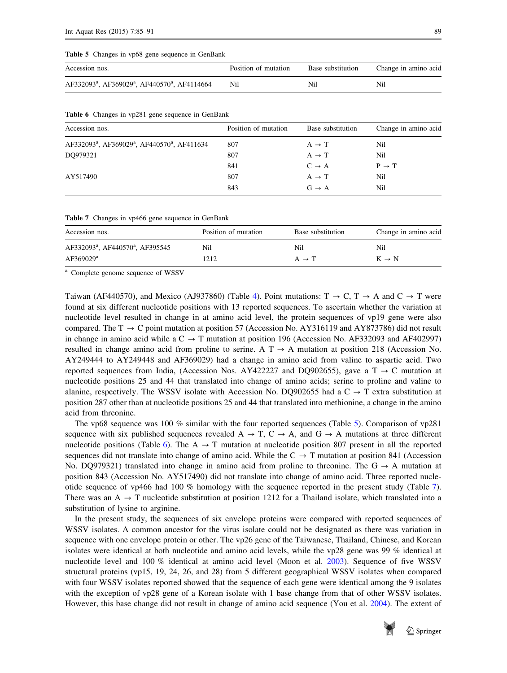#### <span id="page-4-0"></span>Table 5 Changes in vp68 gene sequence in GenBank

| Accession nos.                                                                    | Position of mutation | Base substitution | Change in amino acid |
|-----------------------------------------------------------------------------------|----------------------|-------------------|----------------------|
| AF332093 <sup>a</sup> , AF369029 <sup>a</sup> , AF440570 <sup>a</sup> , AF4114664 | Nil                  | Nil               | Nil                  |

|  | Table 6 Changes in vp281 gene sequence in GenBank |  |  |  |  |  |  |  |
|--|---------------------------------------------------|--|--|--|--|--|--|--|
|--|---------------------------------------------------|--|--|--|--|--|--|--|

| Accession nos.                                                                   | Position of mutation | Base substitution | Change in amino acid |
|----------------------------------------------------------------------------------|----------------------|-------------------|----------------------|
| AF332093 <sup>a</sup> , AF369029 <sup>a</sup> , AF440570 <sup>a</sup> , AF411634 | 807                  | $A \rightarrow T$ | Nil                  |
| DO979321                                                                         | 807                  | $A \rightarrow T$ | Nil                  |
|                                                                                  | 841                  | $C \rightarrow A$ | $P \rightarrow T$    |
| AY517490                                                                         | 807                  | $A \rightarrow T$ | Nil                  |
|                                                                                  | 843                  | $G \rightarrow A$ | Nil                  |
|                                                                                  |                      |                   |                      |

Table 7 Changes in vp466 gene sequence in GenBank

| Accession nos.                                           | Position of mutation | Base substitution | Change in amino acid |
|----------------------------------------------------------|----------------------|-------------------|----------------------|
| AF332093 <sup>a</sup> , AF440570 <sup>a</sup> , AF395545 | Nil                  | Nil               | Nil                  |
| AF369029 <sup>a</sup>                                    | 1212                 | $A \rightarrow T$ | $K \rightarrow N$    |

<sup>a</sup> Complete genome sequence of WSSV

Taiwan (AF440570), and Mexico (AJ937860) (Table [4\)](#page-3-0). Point mutations:  $T \rightarrow C$ ,  $T \rightarrow A$  and  $C \rightarrow T$  were found at six different nucleotide positions with 13 reported sequences. To ascertain whether the variation at nucleotide level resulted in change in at amino acid level, the protein sequences of vp19 gene were also compared. The T  $\rightarrow$  C point mutation at position 57 (Accession No. AY316119 and AY873786) did not result in change in amino acid while a  $C \rightarrow T$  mutation at position 196 (Accession No. AF332093 and AF402997) resulted in change amino acid from proline to serine. A  $T \rightarrow A$  mutation at position 218 (Accession No. AY249444 to AY249448 and AF369029) had a change in amino acid from valine to aspartic acid. Two reported sequences from India, (Accession Nos. AY422227 and DQ902655), gave a T  $\rightarrow$  C mutation at nucleotide positions 25 and 44 that translated into change of amino acids; serine to proline and valine to alanine, respectively. The WSSV isolate with Accession No. DQ902655 had a  $C \rightarrow T$  extra substitution at position 287 other than at nucleotide positions 25 and 44 that translated into methionine, a change in the amino acid from threonine.

The vp68 sequence was 100 % similar with the four reported sequences (Table 5). Comparison of vp281 sequence with six published sequences revealed  $A \rightarrow T$ ,  $C \rightarrow A$ , and  $G \rightarrow A$  mutations at three different nucleotide positions (Table 6). The  $A \rightarrow T$  mutation at nucleotide position 807 present in all the reported sequences did not translate into change of amino acid. While the  $C \rightarrow T$  mutation at position 841 (Accession No. DQ979321) translated into change in amino acid from proline to threonine. The  $G \rightarrow A$  mutation at position 843 (Accession No. AY517490) did not translate into change of amino acid. Three reported nucleotide sequence of vp466 had 100 % homology with the sequence reported in the present study (Table 7). There was an  $A \rightarrow T$  nucleotide substitution at position 1212 for a Thailand isolate, which translated into a substitution of lysine to arginine.

In the present study, the sequences of six envelope proteins were compared with reported sequences of WSSV isolates. A common ancestor for the virus isolate could not be designated as there was variation in sequence with one envelope protein or other. The vp26 gene of the Taiwanese, Thailand, Chinese, and Korean isolates were identical at both nucleotide and amino acid levels, while the vp28 gene was 99 % identical at nucleotide level and 100 % identical at amino acid level (Moon et al. [2003](#page-5-0)). Sequence of five WSSV structural proteins (vp15, 19, 24, 26, and 28) from 5 different geographical WSSV isolates when compared with four WSSV isolates reported showed that the sequence of each gene were identical among the 9 isolates with the exception of vp28 gene of a Korean isolate with 1 base change from that of other WSSV isolates. However, this base change did not result in change of amino acid sequence (You et al. [2004](#page-6-0)). The extent of

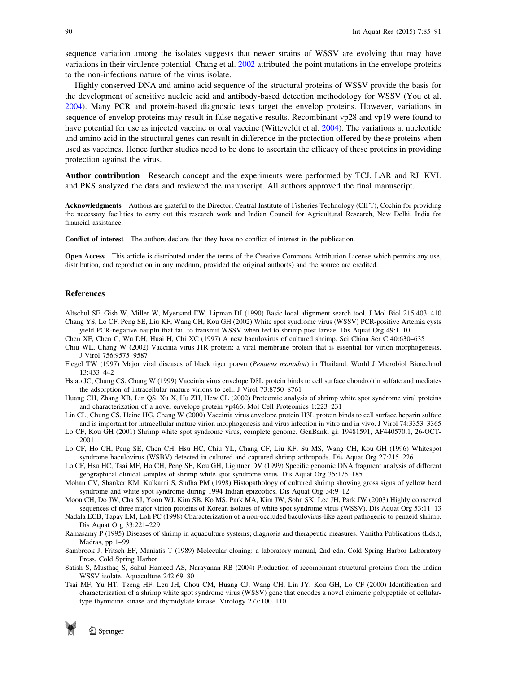<span id="page-5-0"></span>sequence variation among the isolates suggests that newer strains of WSSV are evolving that may have variations in their virulence potential. Chang et al. 2002 attributed the point mutations in the envelope proteins to the non-infectious nature of the virus isolate.

Highly conserved DNA and amino acid sequence of the structural proteins of WSSV provide the basis for the development of sensitive nucleic acid and antibody-based detection methodology for WSSV (You et al. [2004](#page-6-0)). Many PCR and protein-based diagnostic tests target the envelop proteins. However, variations in sequence of envelop proteins may result in false negative results. Recombinant vp28 and vp19 were found to have potential for use as injected vaccine or oral vaccine (Witteveldt et al. [2004](#page-6-0)). The variations at nucleotide and amino acid in the structural genes can result in difference in the protection offered by these proteins when used as vaccines. Hence further studies need to be done to ascertain the efficacy of these proteins in providing protection against the virus.

Author contribution Research concept and the experiments were performed by TCJ, LAR and RJ. KVL and PKS analyzed the data and reviewed the manuscript. All authors approved the final manuscript.

Acknowledgments Authors are grateful to the Director, Central Institute of Fisheries Technology (CIFT), Cochin for providing the necessary facilities to carry out this research work and Indian Council for Agricultural Research, New Delhi, India for financial assistance.

Conflict of interest The authors declare that they have no conflict of interest in the publication.

Open Access This article is distributed under the terms of the Creative Commons Attribution License which permits any use, distribution, and reproduction in any medium, provided the original author(s) and the source are credited.

# References

- Altschul SF, Gish W, Miller W, Myersand EW, Lipman DJ (1990) Basic local alignment search tool. J Mol Biol 215:403–410 Chang YS, Lo CF, Peng SE, Liu KF, Wang CH, Kou GH (2002) White spot syndrome virus (WSSV) PCR-positive Artemia cysts yield PCR-negative nauplii that fail to transmit WSSV when fed to shrimp post larvae. Dis Aquat Org 49:1–10
- Chen XF, Chen C, Wu DH, Huai H, Chi XC (1997) A new baculovirus of cultured shrimp. Sci China Ser C 40:630–635
- Chiu WL, Chang W (2002) Vaccinia virus J1R protein: a viral membrane protein that is essential for virion morphogenesis. J Virol 756:9575–9587
- Flegel TW (1997) Major viral diseases of black tiger prawn (Penaeus monodon) in Thailand. World J Microbiol Biotechnol 13:433–442
- Hsiao JC, Chung CS, Chang W (1999) Vaccinia virus envelope D8L protein binds to cell surface chondroitin sulfate and mediates the adsorption of intracellular mature virions to cell. J Virol 73:8750–8761
- Huang CH, Zhang XB, Lin QS, Xu X, Hu ZH, Hew CL (2002) Proteomic analysis of shrimp white spot syndrome viral proteins and characterization of a novel envelope protein vp466. Mol Cell Proteomics 1:223–231
- Lin CL, Chung CS, Heine HG, Chang W (2000) Vaccinia virus envelope protein H3L protein binds to cell surface heparin sulfate and is important for intracellular mature virion morphogenesis and virus infection in vitro and in vivo. J Virol 74:3353–3365
- Lo CF, Kou GH (2001) Shrimp white spot syndrome virus, complete genome. GenBank, gi: 19481591, AF440570.1, 26-OCT-2001
- Lo CF, Ho CH, Peng SE, Chen CH, Hsu HC, Chiu YL, Chang CF, Liu KF, Su MS, Wang CH, Kou GH (1996) Whitespot syndrome baculovirus (WSBV) detected in cultured and captured shrimp arthropods. Dis Aquat Org 27:215–226
- Lo CF, Hsu HC, Tsai MF, Ho CH, Peng SE, Kou GH, Lightner DV (1999) Specific genomic DNA fragment analysis of different geographical clinical samples of shrimp white spot syndrome virus. Dis Aquat Org 35:175–185
- Mohan CV, Shanker KM, Kulkarni S, Sudha PM (1998) Histopathology of cultured shrimp showing gross signs of yellow head syndrome and white spot syndrome during 1994 Indian epizootics. Dis Aquat Org 34:9–12
- Moon CH, Do JW, Cha SJ, Yoon WJ, Kim SB, Ko MS, Park MA, Kim JW, Sohn SK, Lee JH, Park JW (2003) Highly conserved sequences of three major virion proteins of Korean isolates of white spot syndrome virus (WSSV). Dis Aquat Org 53:11–13
- Nadala ECB, Tapay LM, Loh PC (1998) Characterization of a non-occluded baculovirus-like agent pathogenic to penaeid shrimp. Dis Aquat Org 33:221–229
- Ramasamy P (1995) Diseases of shrimp in aquaculture systems; diagnosis and therapeutic measures. Vanitha Publications (Eds.), Madras, pp 1–99
- Sambrook J, Fritsch EF, Maniatis T (1989) Molecular cloning: a laboratory manual, 2nd edn. Cold Spring Harbor Laboratory Press, Cold Spring Harbor
- Satish S, Musthaq S, Sahul Hameed AS, Narayanan RB (2004) Production of recombinant structural proteins from the Indian WSSV isolate. Aquaculture 242:69–80
- Tsai MF, Yu HT, Tzeng HF, Leu JH, Chou CM, Huang CJ, Wang CH, Lin JY, Kou GH, Lo CF (2000) Identification and characterization of a shrimp white spot syndrome virus (WSSV) gene that encodes a novel chimeric polypeptide of cellulartype thymidine kinase and thymidylate kinase. Virology 277:100–110